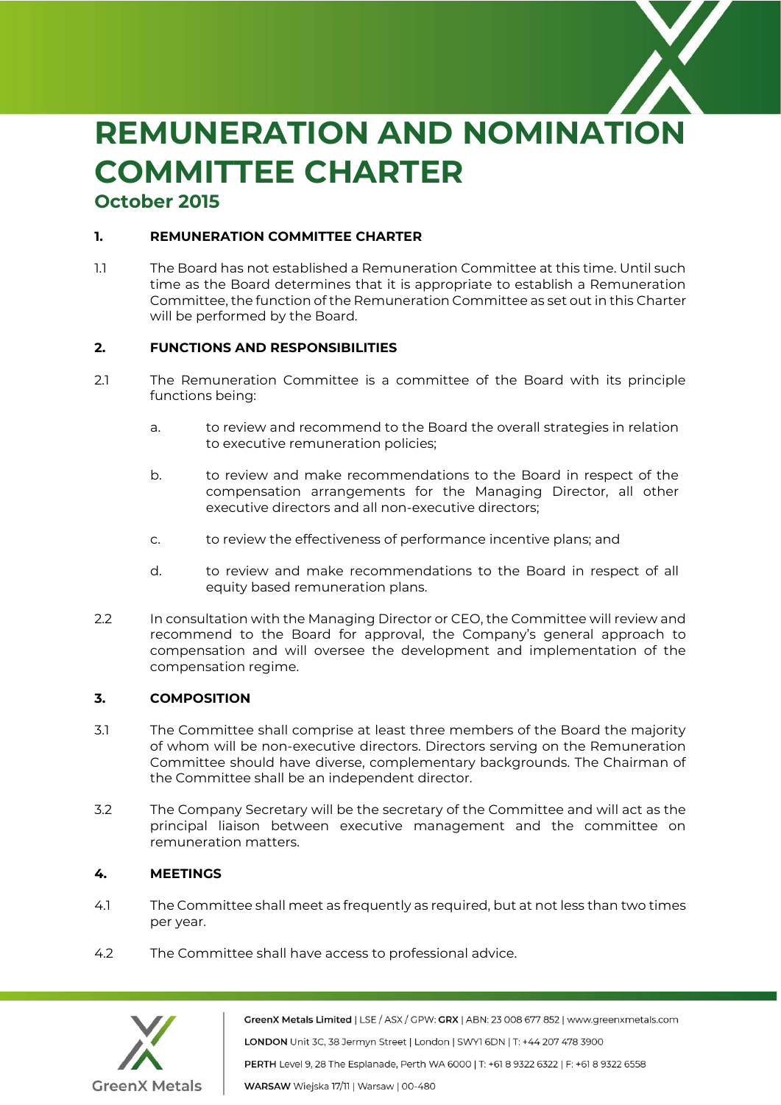

# **REMUNERATION AND NOMINATION COMMITTEE CHARTER October 2015**

# **1. REMUNERATION COMMITTEE CHARTER**

1.1 The Board has not established a Remuneration Committee at this time. Until such time as the Board determines that it is appropriate to establish a Remuneration Committee, the function of the Remuneration Committee as set out in this Charter will be performed by the Board.

#### **2. FUNCTIONS AND RESPONSIBILITIES**

- 2.1 The Remuneration Committee is a committee of the Board with its principle functions being:
	- a. to review and recommend to the Board the overall strategies in relation to executive remuneration policies;
	- b. to review and make recommendations to the Board in respect of the compensation arrangements for the Managing Director, all other executive directors and all non-executive directors;
	- c. to review the effectiveness of performance incentive plans; and
	- d. to review and make recommendations to the Board in respect of all equity based remuneration plans.
- 2.2 In consultation with the Managing Director or CEO, the Committee will review and recommend to the Board for approval, the Company's general approach to compensation and will oversee the development and implementation of the compensation regime.

# **3. COMPOSITION**

- 3.1 The Committee shall comprise at least three members of the Board the majority of whom will be non-executive directors. Directors serving on the Remuneration Committee should have diverse, complementary backgrounds. The Chairman of the Committee shall be an independent director.
- 3.2 The Company Secretary will be the secretary of the Committee and will act as the principal liaison between executive management and the committee on remuneration matters.

# **4. MEETINGS**

- 4.1 The Committee shall meet as frequently as required, but at not less than two times per year.
- 4.2 The Committee shall have access to professional advice.



GreenX Metals Limited | LSE / ASX / GPW: GRX | ABN: 23 008 677 852 | www.greenxmetals.com LONDON Unit 3C, 38 Jermyn Street | London | SWY1 6DN | T: +44 207 478 3900 PERTH Level 9, 28 The Esplanade, Perth WA 6000 | T: +61 8 9322 6322 | F: +61 8 9322 6558 WARSAW Wiejska 17/11 | Warsaw | 00-480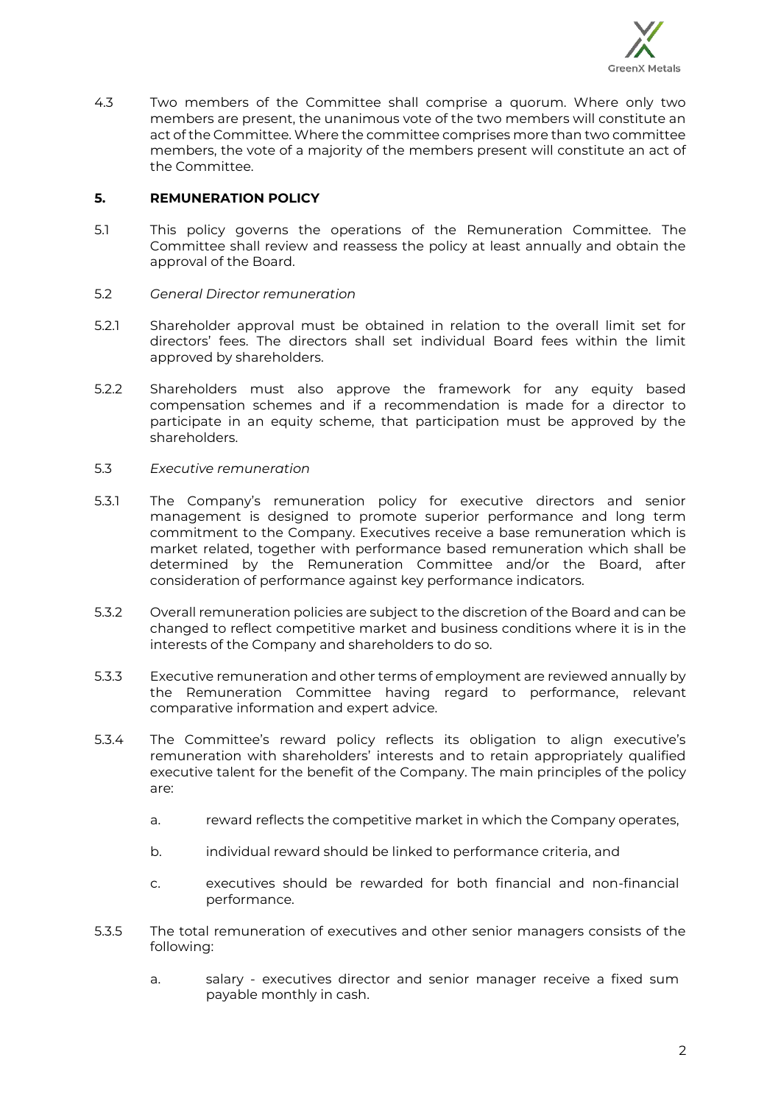

4.3 Two members of the Committee shall comprise a quorum. Where only two members are present, the unanimous vote of the two members will constitute an act of the Committee. Where the committee comprises more than two committee members, the vote of a majority of the members present will constitute an act of the Committee.

## **5. REMUNERATION POLICY**

- 5.1 This policy governs the operations of the Remuneration Committee. The Committee shall review and reassess the policy at least annually and obtain the approval of the Board.
- 5.2 *General Director remuneration*
- 5.2.1 Shareholder approval must be obtained in relation to the overall limit set for directors' fees. The directors shall set individual Board fees within the limit approved by shareholders.
- 5.2.2 Shareholders must also approve the framework for any equity based compensation schemes and if a recommendation is made for a director to participate in an equity scheme, that participation must be approved by the shareholders.
- 5.3 *Executive remuneration*
- 5.3.1 The Company's remuneration policy for executive directors and senior management is designed to promote superior performance and long term commitment to the Company. Executives receive a base remuneration which is market related, together with performance based remuneration which shall be determined by the Remuneration Committee and/or the Board, after consideration of performance against key performance indicators.
- 5.3.2 Overall remuneration policies are subject to the discretion of the Board and can be changed to reflect competitive market and business conditions where it is in the interests of the Company and shareholders to do so.
- 5.3.3 Executive remuneration and other terms of employment are reviewed annually by the Remuneration Committee having regard to performance, relevant comparative information and expert advice.
- 5.3.4 The Committee's reward policy reflects its obligation to align executive's remuneration with shareholders' interests and to retain appropriately qualified executive talent for the benefit of the Company. The main principles of the policy are:
	- a. reward reflects the competitive market in which the Company operates,
	- b. individual reward should be linked to performance criteria, and
	- c. executives should be rewarded for both financial and non-financial performance.
- 5.3.5 The total remuneration of executives and other senior managers consists of the following:
	- a. salary executives director and senior manager receive a fixed sum payable monthly in cash.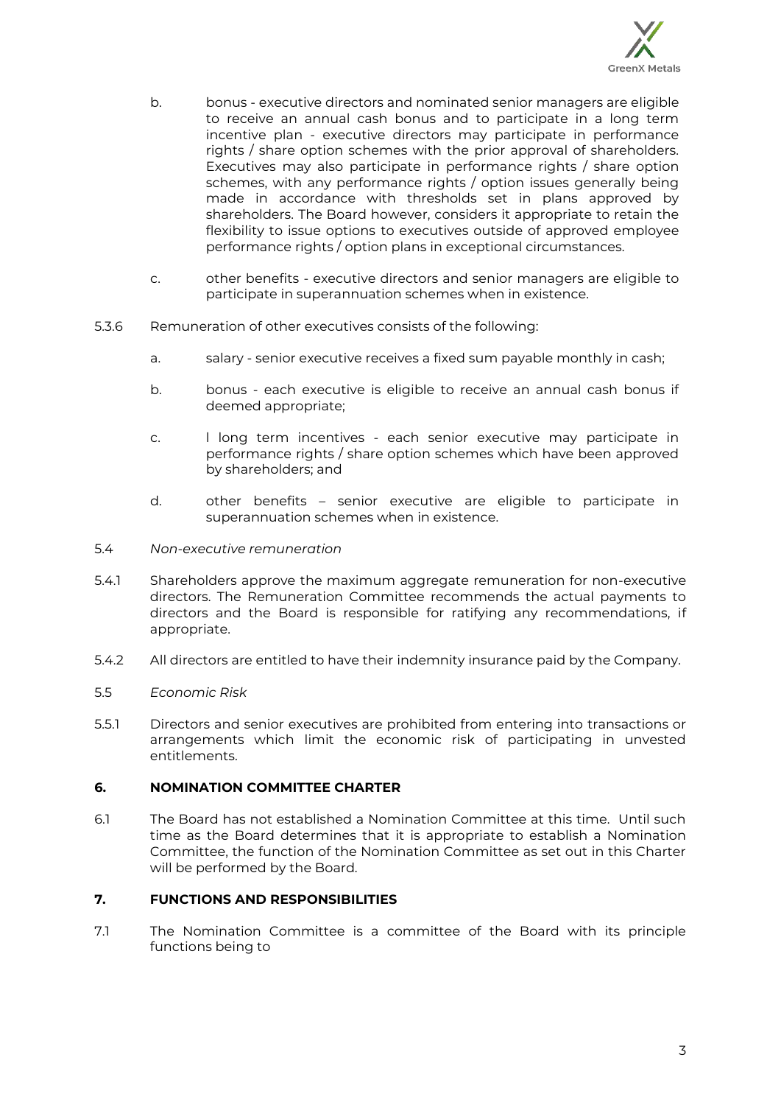

- b. bonus executive directors and nominated senior managers are eligible to receive an annual cash bonus and to participate in a long term incentive plan - executive directors may participate in performance rights / share option schemes with the prior approval of shareholders. Executives may also participate in performance rights / share option schemes, with any performance rights / option issues generally being made in accordance with thresholds set in plans approved by shareholders. The Board however, considers it appropriate to retain the flexibility to issue options to executives outside of approved employee performance rights / option plans in exceptional circumstances.
- c. other benefits executive directors and senior managers are eligible to participate in superannuation schemes when in existence.
- 5.3.6 Remuneration of other executives consists of the following:
	- a. salary senior executive receives a fixed sum payable monthly in cash;
	- b. bonus each executive is eligible to receive an annual cash bonus if deemed appropriate;
	- c. l long term incentives each senior executive may participate in performance rights / share option schemes which have been approved by shareholders; and
	- d. other benefits senior executive are eligible to participate in superannuation schemes when in existence.
- 5.4 *Non-executive remuneration*
- 5.4.1 Shareholders approve the maximum aggregate remuneration for non-executive directors. The Remuneration Committee recommends the actual payments to directors and the Board is responsible for ratifying any recommendations, if appropriate.
- 5.4.2 All directors are entitled to have their indemnity insurance paid by the Company.
- 5.5 *Economic Risk*
- 5.5.1 Directors and senior executives are prohibited from entering into transactions or arrangements which limit the economic risk of participating in unvested entitlements.

#### **6. NOMINATION COMMITTEE CHARTER**

6.1 The Board has not established a Nomination Committee at this time. Until such time as the Board determines that it is appropriate to establish a Nomination Committee, the function of the Nomination Committee as set out in this Charter will be performed by the Board.

## **7. FUNCTIONS AND RESPONSIBILITIES**

7.1 The Nomination Committee is a committee of the Board with its principle functions being to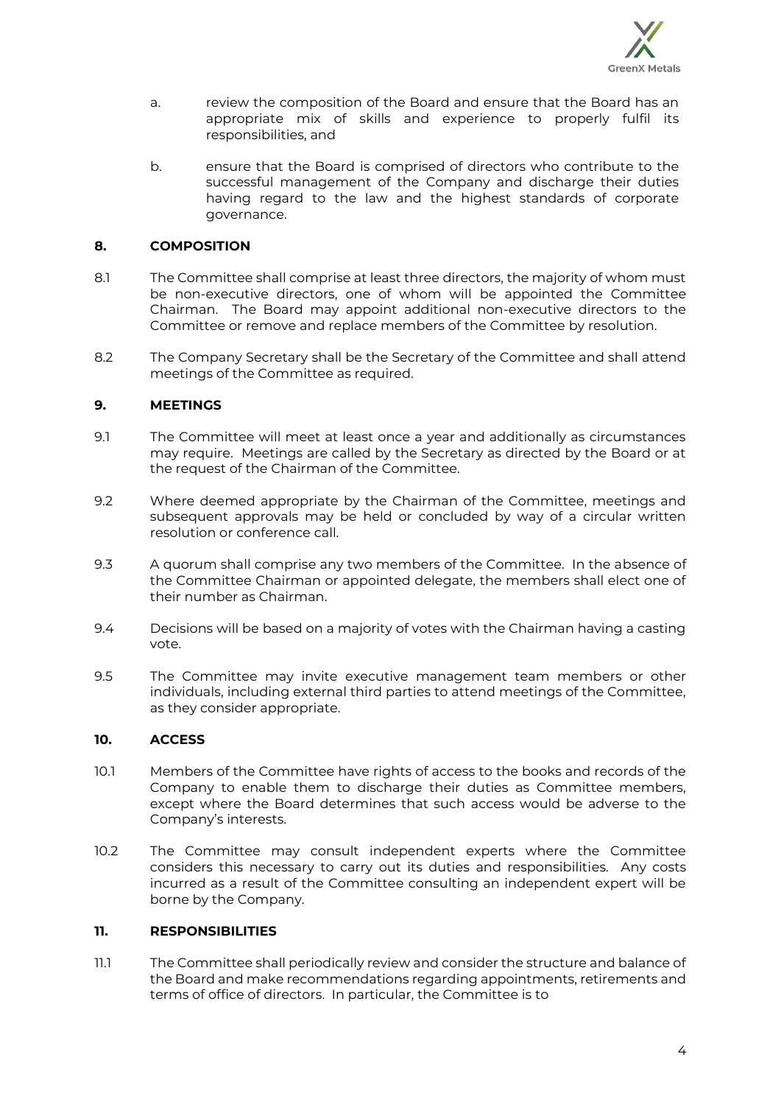

- a. review the composition of the Board and ensure that the Board has an appropriate mix of skills and experience to properly fulfil its responsibilities, and
- b. ensure that the Board is comprised of directors who contribute to the successful management of the Company and discharge their duties having regard to the law and the highest standards of corporate governance.

## **8. COMPOSITION**

- 8.1 The Committee shall comprise at least three directors, the majority of whom must be non-executive directors, one of whom will be appointed the Committee Chairman. The Board may appoint additional non-executive directors to the Committee or remove and replace members of the Committee by resolution.
- 8.2 The Company Secretary shall be the Secretary of the Committee and shall attend meetings of the Committee as required.

## **9. MEETINGS**

- 9.1 The Committee will meet at least once a year and additionally as circumstances may require. Meetings are called by the Secretary as directed by the Board or at the request of the Chairman of the Committee.
- 9.2 Where deemed appropriate by the Chairman of the Committee, meetings and subsequent approvals may be held or concluded by way of a circular written resolution or conference call.
- 9.3 A quorum shall comprise any two members of the Committee. In the absence of the Committee Chairman or appointed delegate, the members shall elect one of their number as Chairman.
- 9.4 Decisions will be based on a majority of votes with the Chairman having a casting vote.
- 9.5 The Committee may invite executive management team members or other individuals, including external third parties to attend meetings of the Committee, as they consider appropriate.

#### **10. ACCESS**

- 10.1 Members of the Committee have rights of access to the books and records of the Company to enable them to discharge their duties as Committee members, except where the Board determines that such access would be adverse to the Company's interests.
- 10.2 The Committee may consult independent experts where the Committee considers this necessary to carry out its duties and responsibilities. Any costs incurred as a result of the Committee consulting an independent expert will be borne by the Company.

#### **11. RESPONSIBILITIES**

11.1 The Committee shall periodically review and consider the structure and balance of the Board and make recommendations regarding appointments, retirements and terms of office of directors. In particular, the Committee is to